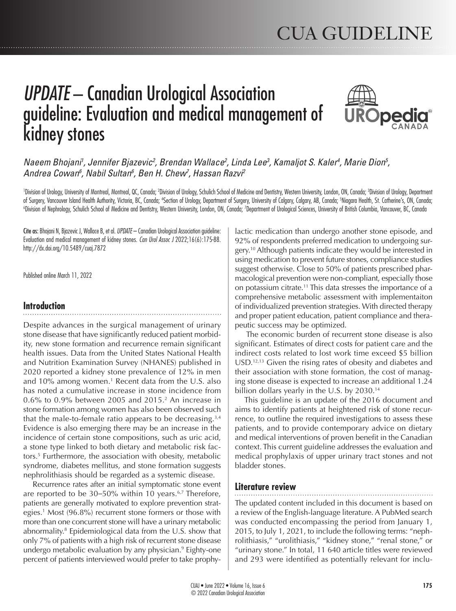# *UPDATE* – Canadian Urological Association guideline: Evaluation and medical management of kidney stones



# *Naeem Bhojani<sup>1</sup>, Jennifer Bjazevic<sup>2</sup>, Brendan Wallace<sup>2</sup>, Linda Lee<sup>3</sup>, Kamaljot S. Kaler<sup>4</sup>, Marie Dion<sup>5</sup>, Andrea Cowan6 , Nabil Sultan6 , Ben H. Chew7 , Hassan Razvi2*

'Division of Urology, University of Montreal, Montreal, QC, Canada; <sup>2</sup>Division of Urology, Schulich School of Medicine and Dentistry, Western University, London, ON, Canada; <sup>3</sup>Division of Urology, Department of Surgery, Vancouver Island Health Authority, Victoria, BC, Canada; "Section of Urology, Department of Surgery, University of Calgary, Calgary, Calgary, Canada; SNiagara Health, St. Catherine's, ON, Canada;<br>Nivision of Ne Division of Nephrology, Schulich School of Medicine and Dentistry, Western University, London, ON, Canada; <sup>7</sup>Department of Urological Sciences, University of British Columbia, Vancouver, BC, Canada

Cite as: Bhojani N, Bjazevic J, Wallace B, et al. *UPDATE* – Canadian Urological Association guideline: Evaluation and medical management of kidney stones. *Can Urol Assoc J* 2022;16(6):175-88. http://dx.doi.org/10.5489/cuaj.7872

Published online March 11, 2022

# **Introduction**

Despite advances in the surgical management of urinary stone disease that have significantly reduced patient morbidity, new stone formation and recurrence remain significant health issues. Data from the United States National Health and Nutrition Examination Survey (NHANES) published in 2020 reported a kidney stone prevalence of 12% in men and 10% among women.<sup>1</sup> Recent data from the U.S. also has noted a cumulative increase in stone incidence from 0.6% to 0.9% between 2005 and 2015.2 An increase in stone formation among women has also been observed such that the male-to-female ratio appears to be decreasing.3,4 Evidence is also emerging there may be an increase in the incidence of certain stone compositions, such as uric acid, a stone type linked to both dietary and metabolic risk factors.5 Furthermore, the association with obesity, metabolic syndrome, diabetes mellitus, and stone formation suggests nephrolithiasis should be regarded as a systemic disease.

Recurrence rates after an initial symptomatic stone event are reported to be 30–50% within 10 years.<sup>6,7</sup> Therefore, patients are generally motivated to explore prevention strategies.1 Most (96.8%) recurrent stone formers or those with more than one concurrent stone will have a urinary metabolic abnormality.8 Epidemiological data from the U.S. show that only 7% of patients with a high risk of recurrent stone disease undergo metabolic evaluation by any physician.9 Eighty-one percent of patients interviewed would prefer to take prophy-

lactic medication than undergo another stone episode, and 92% of respondents preferred medication to undergoing surgery.<sup>10</sup> Although patients indicate they would be interested in using medication to prevent future stones, compliance studies suggest otherwise. Close to 50% of patients prescribed pharmacological prevention were non-compliant, especially those on potassium citrate.11 This data stresses the importance of a comprehensive metabolic assessment with implementaiton of individualized prevention strategies. With directed therapy and proper patient education, patient compliance and therapeutic success may be optimized.

 The economic burden of recurrent stone disease is also significant. Estimates of direct costs for patient care and the indirect costs related to lost work time exceed \$5 billion USD.12,13 Given the rising rates of obesity and diabetes and their association with stone formation, the cost of managing stone disease is expected to increase an additional 1.24 billion dollars yearly in the U.S. by 2030.<sup>14</sup>

This guideline is an update of the 2016 document and aims to identify patients at heightened risk of stone recurrence, to outline the required investigations to assess these patients, and to provide contemporary advice on dietary and medical interventions of proven benefit in the Canadian context. This current guideline addresses the evaluation and medical prophylaxis of upper urinary tract stones and not bladder stones.

# **Literature review**

The updated content included in this document is based on a review of the English-language literature. A PubMed search was conducted encompassing the period from January 1, 2015, to July 1, 2021, to include the following terms: "nephrolithiasis," "urolithiasis," "kidney stone," "renal stone," or "urinary stone." In total, 11 640 article titles were reviewed and 293 were identified as potentially relevant for inclu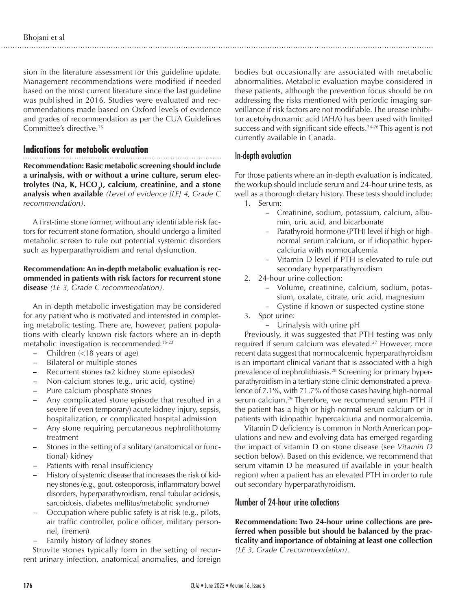sion in the literature assessment for this guideline update. Management recommendations were modified if needed based on the most current literature since the last guideline was published in 2016. Studies were evaluated and recommendations made based on Oxford levels of evidence and grades of recommendation as per the CUA Guidelines Committee's directive.15

# **Indications for metabolic evaluation**

**Recommendation: Basic metabolic screening should include a urinalysis, with or without a urine culture, serum elec**trolytes (Na, K, HCO<sub>3</sub>), calcium, creatinine, and a stone **analysis when available** *(Level of evidence [LE] 4, Grade C recommendation).*

A first-time stone former, without any identifiable risk factors for recurrent stone formation, should undergo a limited metabolic screen to rule out potential systemic disorders such as hyperparathyroidism and renal dysfunction.

#### **Recommendation: An in-depth metabolic evaluation is recommended in patients with risk factors for recurrent stone disease** *(LE 3, Grade C recommendation).*

An in-depth metabolic investigation may be considered for *any* patient who is motivated and interested in completing metabolic testing. There are, however, patient populations with clearly known risk factors where an in-depth metabolic investigation is recommended:16-23

- Children  $\left($  <18 years of age)
- Bilateral or multiple stones
- - Recurrent stones (≥2 kidney stone episodes)
- Non-calcium stones (e.g., uric acid, cystine)
- Pure calcium phosphate stones
- Any complicated stone episode that resulted in a severe (if even temporary) acute kidney injury, sepsis, hospitalization, or complicated hospital admission
- Any stone requiring percutaneous nephrolithotomy treatment
- Stones in the setting of a solitary (anatomical or functional) kidney
- Patients with renal insufficiency
- History of systemic disease that increases the risk of kidney stones (e.g., gout, osteoporosis, inflammatory bowel disorders, hyperparathyroidism, renal tubular acidosis, sarcoidosis, diabetes mellitus/metabolic syndrome)
- Occupation where public safety is at risk (e.g., pilots, air traffic controller, police officer, military personnel, firemen)
- Family history of kidney stones

Struvite stones typically form in the setting of recurrent urinary infection, anatomical anomalies, and foreign bodies but occasionally are associated with metabolic abnormalities. Metabolic evaluation maybe considered in these patients, although the prevention focus should be on addressing the risks mentioned with periodic imaging surveillance if risk factors are not modifiable. The urease inhibitor acetohydroxamic acid (AHA) has been used with limited success and with significant side effects.<sup>24-26</sup> This agent is not currently available in Canada.

#### In-depth evaluation

For those patients where an in-depth evaluation is indicated, the workup should include serum and 24-hour urine tests, as well as a thorough dietary history. These tests should include: 1. Serum:

- Creatinine, sodium, potassium, calcium, albumin, uric acid, and bicarbonate
- Parathyroid hormone (PTH) level if high or highnormal serum calcium, or if idiopathic hypercalciuria with normocalcemia
- Vitamin D level if PTH is elevated to rule out secondary hyperparathyroidism
- 2. 24-hour urine collection:
	- Volume, creatinine, calcium, sodium, potassium, oxalate, citrate, uric acid, magnesium
	- Cystine if known or suspected cystine stone
- 3. Spot urine:
	- Urinalysis with urine pH

Previously, it was suggested that PTH testing was only required if serum calcium was elevated.<sup>27</sup> However, more recent data suggest that normocalcemic hyperparathyroidism is an important clinical variant that is associated with a high prevalence of nephrolithiasis.<sup>28</sup> Screening for primary hyperparathyroidism in a tertiary stone clinic demonstrated a prevalence of 7.1%, with 71.7% of those cases having high-normal serum calcium.<sup>29</sup> Therefore, we recommend serum PTH if the patient has a high or high-normal serum calcium or in patients with idiopathic hypercalciuria and normocalcemia.

Vitamin D deficiency is common in North American populations and new and evolving data has emerged regarding the impact of vitamin D on stone disease (see *Vitamin D* section below). Based on this evidence, we recommend that serum vitamin D be measured (if available in your health region) when a patient has an elevated PTH in order to rule out secondary hyperparathyroidism.

# Number of 24-hour urine collections

**Recommendation: Two 24-hour urine collections are preferred when possible but should be balanced by the practicality and importance of obtaining at least one collection** *(LE 3, Grade C recommendation).*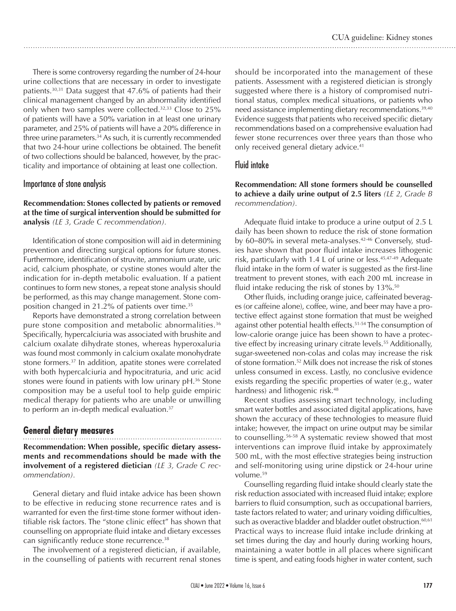There is some controversy regarding the number of 24-hour urine collections that are necessary in order to investigate patients.30,31 Data suggest that 47.6% of patients had their clinical management changed by an abnormality identified only when two samples were collected.32,33 Close to 25% of patients will have a 50% variation in at least one urinary parameter, and 25% of patients will have a 20% difference in three urine parameters.<sup>34</sup> As such, it is currently recommended that two 24-hour urine collections be obtained. The benefit of two collections should be balanced, however, by the practicality and importance of obtaining at least one collection.

#### Importance of stone analysis

**Recommendation: Stones collected by patients or removed at the time of surgical intervention should be submitted for analysis** *(LE 3, Grade C recommendation).* 

Identification of stone composition will aid in determining prevention and directing surgical options for future stones. Furthermore, identification of struvite, ammonium urate, uric acid, calcium phosphate, or cystine stones would alter the indication for in-depth metabolic evaluation. If a patient continues to form new stones, a repeat stone analysis should be performed, as this may change management. Stone composition changed in 21.2% of patients over time.<sup>35</sup>

Reports have demonstrated a strong correlation between pure stone composition and metabolic abnormalities.<sup>36</sup> Specifically, hypercalciuria was associated with brushite and calcium oxalate dihydrate stones, whereas hyperoxaluria was found most commonly in calcium oxalate monohydrate stone formers.37 In addition, apatite stones were correlated with both hypercalciuria and hypocitraturia, and uric acid stones were found in patients with low urinary pH.36 Stone composition may be a useful tool to help guide empiric medical therapy for patients who are unable or unwilling to perform an in-depth medical evaluation.<sup>37</sup>

#### **General dietary measures**

**Recommendation: When possible, specific dietary assessments and recommendations should be made with the involvement of a registered dietician** *(LE 3, Grade C recommendation).*

General dietary and fluid intake advice has been shown to be effective in reducing stone recurrence rates and is warranted for even the first-time stone former without identifiable risk factors. The "stone clinic effect" has shown that counselling on appropriate fluid intake and dietary excesses can significantly reduce stone recurrence.38

The involvement of a registered dietician, if available, in the counselling of patients with recurrent renal stones should be incorporated into the management of these patients. Assessment with a registered dietician is strongly suggested where there is a history of compromised nutritional status, complex medical situations, or patients who need assistance implementing dietary recommendations.<sup>39,40</sup> Evidence suggests that patients who received specific dietary recommendations based on a comprehensive evaluation had fewer stone recurrences over three years than those who only received general dietary advice.<sup>41</sup>

#### Fluid intake

**Recommendation: All stone formers should be counselled to achieve a daily urine output of 2.5 liters** *(LE 2, Grade B recommendation).*

Adequate fluid intake to produce a urine output of 2.5 L daily has been shown to reduce the risk of stone formation by 60–80% in several meta-analyses.<sup>42-46</sup> Conversely, studies have shown that poor fluid intake increases lithogenic risk, particularly with 1.4 L of urine or less. $45,47.49$  Adequate fluid intake in the form of water is suggested as the first-line treatment to prevent stones, with each 200 mL increase in fluid intake reducing the risk of stones by  $13\%$ .<sup>50</sup>

Other fluids, including orange juice, caffeinated beverages (or caffeine alone), coffee, wine, and beer may have a protective effect against stone formation that must be weighed against other potential health effects.<sup>51-54</sup> The consumption of low-calorie orange juice has been shown to have a protective effect by increasing urinary citrate levels.<sup>55</sup> Additionally, sugar-sweetened non-colas and colas may increase the risk of stone formation.52 Milk does not increase the risk of stones unless consumed in excess. Lastly, no conclusive evidence exists regarding the specific properties of water (e.g., water hardness) and lithogenic risk.<sup>48</sup>

Recent studies assessing smart technology, including smart water bottles and associated digital applications, have shown the accuracy of these technologies to measure fluid intake; however, the impact on urine output may be similar to counselling.<sup>56-58</sup> A systematic review showed that most interventions can improve fluid intake by approximately 500 mL, with the most effective strategies being instruction and self-monitoring using urine dipstick or 24-hour urine volume.59

Counselling regarding fluid intake should clearly state the risk reduction associated with increased fluid intake; explore barriers to fluid consumption, such as occupational barriers, taste factors related to water; and urinary voiding difficulties, such as overactive bladder and bladder outlet obstruction.<sup>60,61</sup> Practical ways to increase fluid intake include drinking at set times during the day and hourly during working hours, maintaining a water bottle in all places where significant time is spent, and eating foods higher in water content, such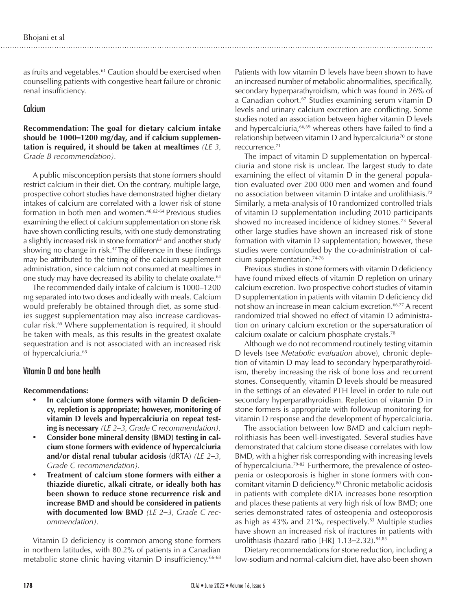as fruits and vegetables.<sup>61</sup> Caution should be exercised when counselling patients with congestive heart failure or chronic renal insufficiency.

#### **Calcium**

**Recommendation: The goal for dietary calcium intake should be 1000–1200 mg/day, and if calcium supplementation is required, it should be taken at mealtimes** *(LE 3, Grade B recommendation).*

A public misconception persists that stone formers should restrict calcium in their diet. On the contrary, multiple large, prospective cohort studies have demonstrated higher dietary intakes of calcium are correlated with a lower risk of stone formation in both men and women.46,62-64 Previous studies examining the effect of calcium supplementation on stone risk have shown conflicting results, with one study demonstrating a slightly increased risk in stone formation<sup>63</sup> and another study showing no change in risk.<sup>47</sup> The difference in these findings may be attributed to the timing of the calcium supplement administration, since calcium not consumed at mealtimes in one study may have decreased its ability to chelate oxalate.<sup>64</sup>

The recommended daily intake of calcium is 1000–1200 mg separated into two doses and ideally with meals. Calcium would preferably be obtained through diet, as some studies suggest supplementation may also increase cardiovascular risk.65 Where supplementation is required, it should be taken with meals, as this results in the greatest oxalate sequestration and is not associated with an increased risk of hypercalciuria.<sup>65</sup>

#### Vitamin D and bone health

#### **Recommendations:**

- In calcium stone formers with vitamin D deficien**cy, repletion is appropriate; however, monitoring of vitamin D levels and hypercalciuria on repeat testing is necessary** *(LE 2–3, Grade C recommendation).*
- • **Consider bone mineral density (BMD) testing in calcium stone formers with evidence of hypercalciuria and/or distal renal tubular acidosis** (dRTA) *(LE 2–3, Grade C recommendation).*
- **Treatment of calcium stone formers with either a thiazide diuretic, alkali citrate, or ideally both has been shown to reduce stone recurrence risk and increase BMD and should be considered in patients with documented low BMD** *(LE 2–3, Grade C recommendation).*

Vitamin D deficiency is common among stone formers in northern latitudes, with 80.2% of patients in a Canadian metabolic stone clinic having vitamin D insufficiency.<sup>66-68</sup> Patients with low vitamin D levels have been shown to have an increased number of metabolic abnormalities, specifically, secondary hyperparathyroidism, which was found in 26% of a Canadian cohort.<sup>67</sup> Studies examining serum vitamin D levels and urinary calcium excretion are conflicting. Some studies noted an association between higher vitamin D levels and hypercalciuria,<sup>66,69</sup> whereas others have failed to find a relationship between vitamin D and hypercalciuria<sup>70</sup> or stone reccurrence.71

The impact of vitamin D supplementation on hypercalciuria and stone risk is unclear. The largest study to date examining the effect of vitamin D in the general population evaluated over 200 000 men and women and found no association between vitamin D intake and urolithiasis.72 Similarly, a meta-analysis of 10 randomized controlled trials of vitamin D supplementation including 2010 participants showed no increased incidence of kidney stones.<sup>73</sup> Several other large studies have shown an increased risk of stone formation with vitamin D supplementation; however, these studies were confounded by the co-administration of calcium supplementation.74-76

Previous studies in stone formers with vitamin D deficiency have found mixed effects of vitamin D repletion on urinary calcium excretion. Two prospective cohort studies of vitamin D supplementation in patients with vitamin D deficiency did not show an increase in mean calcium excretion.<sup>66,77</sup> A recent randomized trial showed no effect of vitamin D administration on urinary calcium excretion or the supersaturation of calcium oxalate or calcium phosphate crystals.78

Although we do not recommend routinely testing vitamin D levels (see *Metabolic evaluation* above), chronic depletion of vitamin D may lead to secondary hyperparathyroidism, thereby increasing the risk of bone loss and recurrent stones. Consequently, vitamin D levels should be measured in the settings of an elevated PTH level in order to rule out secondary hyperparathyroidism. Repletion of vitamin D in stone formers is appropriate with followup monitoring for vitamin D response and the development of hypercalciuria.

The association between low BMD and calcium nephrolithiasis has been well-investigated. Several studies have demonstrated that calcium stone disease correlates with low BMD, with a higher risk corresponding with increasing levels of hypercalciuria.79-82 Furthermore, the prevalence of osteopenia or osteoporosis is higher in stone formers with concomitant vitamin D deficiency.80 Chronic metabolic acidosis in patients with complete dRTA increases bone resorption and places these patients at very high risk of low BMD; one series demonstrated rates of osteopenia and osteoporosis as high as  $43\%$  and  $21\%$ , respectively.<sup>83</sup> Multiple studies have shown an increased risk of fractures in patients with urolithiasis (hazard ratio [HR] 1.13*–*2.32).84,85

Dietary recommendations for stone reduction, including a low-sodium and normal-calcium diet, have also been shown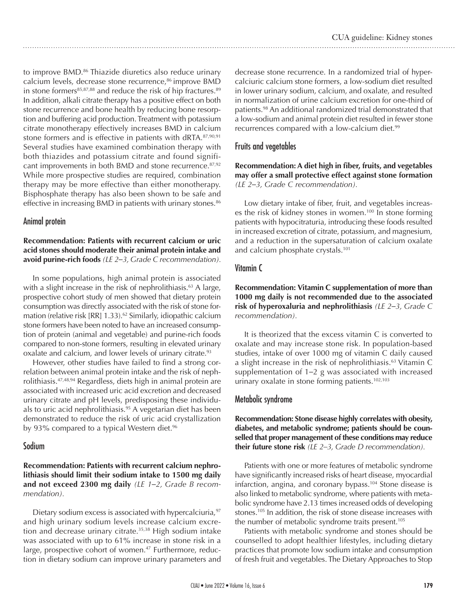to improve BMD.<sup>86</sup> Thiazide diuretics also reduce urinary calcium levels, decrease stone recurrence,<sup>86</sup> improve BMD in stone formers<sup>85,87,88</sup> and reduce the risk of hip fractures.<sup>89</sup> In addition, alkali citrate therapy has a positive effect on both stone recurrence and bone health by reducing bone resorption and buffering acid production. Treatment with potassium citrate monotherapy effectively increases BMD in calcium stone formers and is effective in patients with dRTA.<sup>87,90,91</sup> Several studies have examined combination therapy with both thiazides and potassium citrate and found significant improvements in both BMD and stone recurrence.87,92 While more prospective studies are required, combination therapy may be more effective than either monotherapy. Bisphosphate therapy has also been shown to be safe and effective in increasing BMD in patients with urinary stones.<sup>86</sup>

# Animal protein

**Recommendation: Patients with recurrent calcium or uric acid stones should moderate their animal protein intake and avoid purine-rich foods** *(LE 2–3, Grade C recommendation).*

In some populations, high animal protein is associated with a slight increase in the risk of nephrolithiasis.<sup>63</sup> A large, prospective cohort study of men showed that dietary protein consumption was directly associated with the risk of stone formation (relative risk  $[RR]$  1.33).<sup>62</sup> Similarly, idiopathic calcium stone formers have been noted to have an increased consumption of protein (animal and vegetable) and purine-rich foods compared to non-stone formers, resulting in elevated urinary oxalate and calcium, and lower levels of urinary citrate.<sup>93</sup>

However, other studies have failed to find a strong correlation between animal protein intake and the risk of nephrolithiasis.47,48,94 Regardless, diets high in animal protein are associated with increased uric acid excretion and decreased urinary citrate and pH levels, predisposing these individuals to uric acid nephrolithiasis.<sup>95</sup> A vegetarian diet has been demonstrated to reduce the risk of uric acid crystallization by 93% compared to a typical Western diet.<sup>96</sup>

# Sodium

**Recommendation: Patients with recurrent calcium nephrolithiasis should limit their sodium intake to 1500 mg daily and not exceed 2300 mg daily** *(LE 1–2, Grade B recommendation).*

Dietary sodium excess is associated with hypercalciuria, $97$ and high urinary sodium levels increase calcium excretion and decrease urinary citrate.<sup>35,38</sup> High sodium intake was associated with up to 61% increase in stone risk in a large, prospective cohort of women.<sup>47</sup> Furthermore, reduction in dietary sodium can improve urinary parameters and decrease stone recurrence. In a randomized trial of hypercalciuric calcium stone formers, a low-sodium diet resulted in lower urinary sodium, calcium, and oxalate, and resulted in normalization of urine calcium excretion for one-third of patients.98 An additional randomized trial demonstrated that a low-sodium and animal protein diet resulted in fewer stone recurrences compared with a low-calcium diet.<sup>99</sup>

# Fruits and vegetables

**Recommendation: A diet high in fiber, fruits, and vegetables may offer a small protective effect against stone formation** *(LE 2–3, Grade C recommendation).*

Low dietary intake of fiber, fruit, and vegetables increases the risk of kidney stones in women.<sup>100</sup> In stone forming patients with hypocitraturia, introducing these foods resulted in increased excretion of citrate, potassium, and magnesium, and a reduction in the supersaturation of calcium oxalate and calcium phosphate crystals.<sup>101</sup>

# Vitamin C

**Recommendation: Vitamin C supplementation of more than 1000 mg daily is not recommended due to the associated risk of hyperoxaluria and nephrolithiasis** *(LE 2–3, Grade C recommendation).*

It is theorized that the excess vitamin C is converted to oxalate and may increase stone risk. In population-based studies, intake of over 1000 mg of vitamin C daily caused a slight increase in the risk of nephrolithiasis.<sup>63</sup> Vitamin C supplementation of 1*–*2 g was associated with increased urinary oxalate in stone forming patients.<sup>102,103</sup>

# Metabolic syndrome

**Recommendation: Stone disease highly correlates with obesity, diabetes, and metabolic syndrome; patients should be counselled that proper management of these conditions may reduce their future stone risk** *(LE 2–3, Grade D recommendation).*

Patients with one or more features of metabolic syndrome have significantly increased risks of heart disease, myocardial infarction, angina, and coronary bypass.104 Stone disease is also linked to metabolic syndrome, where patients with metabolic syndrome have 2.13 times increased odds of developing stones.105 In addition, the risk of stone disease increases with the number of metabolic syndrome traits present.<sup>105</sup>

Patients with metabolic syndrome and stones should be counselled to adopt healthier lifestyles, including dietary practices that promote low sodium intake and consumption of fresh fruit and vegetables. The Dietary Approaches to Stop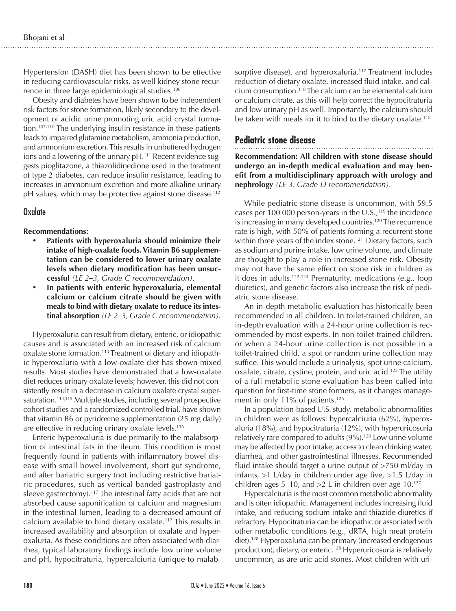Hypertension (DASH) diet has been shown to be effective in reducing cardiovascular risks, as well kidney stone recurrence in three large epidemiological studies.<sup>106</sup>

Obesity and diabetes have been shown to be independent risk factors for stone formation, likely secondary to the development of acidic urine promoting uric acid crystal formation.107-110 The underlying insulin resistance in these patients leads to impaired glutamine metabolism, ammonia production, and ammonium excretion. This results in unbuffered hydrogen ions and a lowering of the urinary pH.<sup>111</sup> Recent evidence suggests pioglitazone, a thiazolidinedione used in the treatment of type 2 diabetes, can reduce insulin resistance, leading to increases in ammonium excretion and more alkaline urinary pH values, which may be protective against stone disease.<sup>112</sup>

#### **Oxalate**

#### **Recommendations:**

- Patients with hyperoxaluria should minimize their **intake of high-oxalate foods. Vitamin B6 supplementation can be considered to lower urinary oxalate levels when dietary modification has been unsuccessful** *(LE 2–3, Grade C recommendation).*
- In patients with enteric hyperoxaluria, elemental **calcium or calcium citrate should be given with meals to bind with dietary oxalate to reduce its intestinal absorption** *(LE 2–3, Grade C recommendation).*

Hyperoxaluria can result from dietary, enteric, or idiopathic causes and is associated with an increased risk of calcium oxalate stone formation.113 Treatment of dietary and idiopathic hyperoxaluria with a low-oxalate diet has shown mixed results. Most studies have demonstrated that a low-oxalate diet reduces urinary oxalate levels; however, this did not consistently result in a decrease in calcium oxalate crystal supersaturation.<sup>114,115</sup> Multiple studies, including several prospective cohort studies and a randomized controlled trial, have shown that vitamin B6 or pyridoxine supplementation (25 mg daily) are effective in reducing urinary oxalate levels.<sup>116</sup>

Enteric hyperoxaluria is due primarily to the malabsorption of intestinal fats in the ileum. This condition is most frequently found in patients with inflammatory bowel disease with small bowel involvement, short gut syndrome, and after bariatric surgery (not including restrictive bariatric procedures, such as vertical banded gastroplasty and sleeve gastrectomy).<sup>117</sup> The intestinal fatty acids that are not absorbed cause saponification of calcium and magnesium in the intestinal lumen, leading to a decreased amount of calcium available to bind dietary oxalate.117 This results in increased availability and absorption of oxalate and hyperoxaluria. As these conditions are often associated with diarrhea, typical laboratory findings include low urine volume and pH, hypocitraturia, hypercalciuria (unique to malab-

sorptive disease), and hyperoxaluria.<sup>117</sup> Treatment includes reduction of dietary oxalate, increased fluid intake, and calcium consumption.118 The calcium can be elemental calcium or calcium citrate, as this will help correct the hypocitraturia and low urinary pH as well. Importantly, the calcium should be taken with meals for it to bind to the dietary oxalate.<sup>118</sup>

# **Pediatric stone disease**

**Recommendation: All children with stone disease should undergo an in-depth medical evaluation and may benefit from a multidisciplinary approach with urology and nephrology** *(LE 3, Grade D recommendation).*

While pediatric stone disease is uncommon, with 59.5 cases per 100 000 person-years in the  $U.S.,<sup>119</sup>$  the incidence is increasing in many developed countries.<sup>120</sup> The recurrence rate is high, with 50% of patients forming a recurrent stone within three years of the index stone.<sup>121</sup> Dietary factors, such as sodium and purine intake, low urine volume, and climate are thought to play a role in increased stone risk. Obesity may not have the same effect on stone risk in children as it does in adults.122-124 Prematurity, medications (e.g., loop diuretics), and genetic factors also increase the risk of pediatric stone disease.

An in-depth metabolic evaluation has historically been recommended in all children. In toilet-trained children, an in-depth evaluation with a 24-hour urine collection is recommended by most experts. In non-toilet-trained children, or when a 24-hour urine collection is not possible in a toilet-trained child, a spot or random urine collection may suffice. This would include a urinalysis, spot urine calcium, oxalate, citrate, cystine, protein, and uric acid.<sup>125</sup> The utility of a full metabolic stone evaluation has been called into question for first-time stone formers, as it changes management in only 11% of patients.<sup>126</sup>

In a population-based U.S. study, metabolic abnormalities in children were as follows: hypercalciuria (62%), hyperoxaluria (18%), and hypocitraturia (12%), with hyperuricosuria relatively rare compared to adults (9%).<sup>120</sup> Low urine volume may be affected by poor intake, access to clean drinking water, diarrhea, and other gastrointestinal illnesses. Recommended fluid intake should target a urine output of >750 ml/day in infants, >1 L/day in children under age five, >1.5 L/day in children ages 5–10, and  $>2$  L in children over age 10.<sup>127</sup>

Hypercalciuria is the most common metabolic abnormality and is often idiopathic. Management includes increasing fluid intake, and reducing sodium intake and thiazide diuretics if refractory. Hypocitraturia can be idiopathic or associated with other metabolic conditions (e.g., dRTA, high meat protein diet).<sup>128</sup> Hyperoxaluria can be primary (increased endogenous production), dietary, or enteric.<sup>128</sup> Hyperuricosuria is relatively uncommon, as are uric acid stones. Most children with uri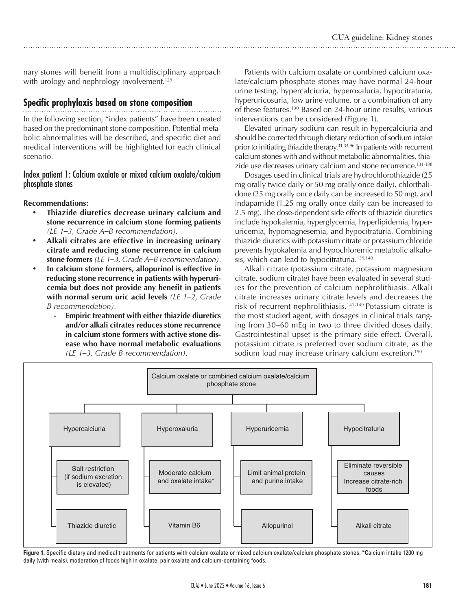nary stones will benefit from a multidisciplinary approach with urology and nephrology involvement.<sup>129</sup>

# **Specific prophylaxis based on stone composition**

In the following section, "index patients" have been created based on the predominant stone composition. Potential metabolic abnormalities will be described, and specific diet and medical interventions will be highlighted for each clinical scenario.

#### Index patient 1: Calcium oxalate or mixed calcium oxalate/calcium phosphate stones

**Recommendations:** 

- **Thiazide diuretics decrease urinary calcium and stone recurrence in calcium stone forming patients** *(LE 1–3, Grade A–B recommendation).*
- • **Alkali citrates are effective in increasing urinary citrate and reducing stone recurrence in calcium stone formers** *(LE 1–3, Grade A–B recommendation).*
- • **In calcium stone formers, allopurinol is effective in reducing stone recurrence in patients with hyperuricemia but does not provide any benefit in patients with normal serum uric acid levels** *(LE 1–2, Grade B recommendation).*
	- **Empiric treatment with either thiazide diuretics and/or alkali citrates reduces stone recurrence in calcium stone formers with active stone disease who have normal metabolic evaluations** *(LE 1–3, Grade B recommendation).*

Patients with calcium oxalate or combined calcium oxalate/calcium phosphate stones may have normal 24-hour urine testing, hypercalciuria, hyperoxaluria, hypocitraturia, hyperuricosuria, low urine volume, or a combination of any of these features.130 Based on 24-hour urine results, various interventions can be considered (Figure 1).

Elevated urinary sodium can result in hypercalciuria and should be corrected through dietary reduction of sodium intake prior to initiating thiazide therapy.<sup>31,34,96</sup> In patients with recurrent calcium stones with and without metabolic abnormalities, thiazide use decreases urinary calcium and stone recurrence.<sup>131-138</sup>

Dosages used in clinical trials are hydrochlorothiazide (25 mg orally twice daily or 50 mg orally once daily), chlorthalidone (25 mg orally once daily can be increased to 50 mg), and indapamide (1.25 mg orally once daily can be increased to 2.5 mg). The dose-dependent side effects of thiazide diuretics include hypokalemia, hyperglycemia, hyperlipidemia, hyperuricemia, hypomagnesemia, and hypocitraturia. Combining thiazide diuretics with potassium citrate or potassium chloride prevents hypokalemia and hypochloremic metabolic alkalosis, which can lead to hypocitraturia.<sup>139,140</sup>

Alkali citrate (potassium citrate, potassium magnesium citrate, sodium citrate) have been evaluated in several studies for the prevention of calcium nephrolithiasis. Alkali citrate increases urinary citrate levels and decreases the risk of recurrent nephrolithiasis.141-149 Potassium citrate is the most studied agent, with dosages in clinical trials ranging from 30–60 mEq in two to three divided doses daily. Gastrointestinal upset is the primary side effect. Overall, potassium citrate is preferred over sodium citrate, as the sodium load may increase urinary calcium excretion.<sup>150</sup>



Figure 1. Specific dietary and medical treatments for patients with calcium oxalate or mixed calcium oxalate/calcium phosphate stones. \*Calcium intake 1200 mg daily (with meals), moderation of foods high in oxalate, pair oxalate and calcium-containing foods.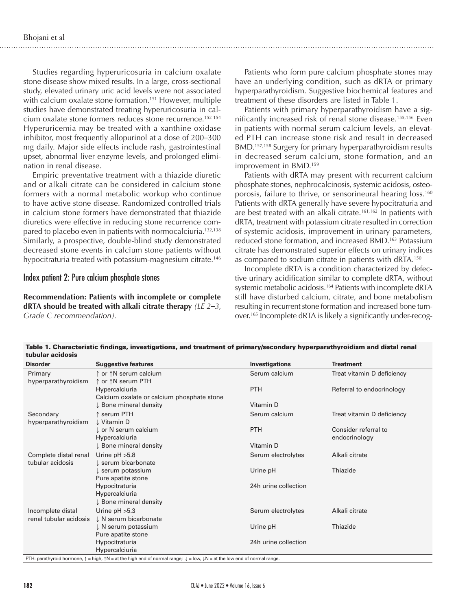Studies regarding hyperuricosuria in calcium oxalate stone disease show mixed results. In a large, cross-sectional study, elevated urinary uric acid levels were not associated with calcium oxalate stone formation.<sup>151</sup> However, multiple studies have demonstrated treating hyperuricosuria in calcium oxalate stone formers reduces stone recurrence.152-154 Hyperuricemia may be treated with a xanthine oxidase inhibitor, most frequently allopurinol at a dose of 200*–*300 mg daily. Major side effects include rash, gastrointestinal upset, abnormal liver enzyme levels, and prolonged elimination in renal disease.

Empiric preventative treatment with a thiazide diuretic and or alkali citrate can be considered in calcium stone formers with a normal metabolic workup who continue to have active stone disease. Randomized controlled trials in calcium stone formers have demonstrated that thiazide diuretics were effective in reducing stone recurrence compared to placebo even in patients with normocalciuria.<sup>132,138</sup> Similarly, a prospective, double-blind study demonstrated decreased stone events in calcium stone patients without hypocitraturia treated with potassium-magnesium citrate.<sup>146</sup>

#### Index patient 2: Pure calcium phosphate stones

**Recommendation: Patients with incomplete or complete dRTA should be treated with alkali citrate therapy** *(LE 2–3, Grade C recommendation).*

Patients who form pure calcium phosphate stones may have an underlying condition, such as dRTA or primary hyperparathyroidism. Suggestive biochemical features and treatment of these disorders are listed in Table 1.

Patients with primary hyperparathyroidism have a significantly increased risk of renal stone disease.155,156 Even in patients with normal serum calcium levels, an elevated PTH can increase stone risk and result in decreased BMD.157,158 Surgery for primary hyperparathyroidism results in decreased serum calcium, stone formation, and an improvement in BMD.<sup>159</sup>

Patients with dRTA may present with recurrent calcium phosphate stones, nephrocalcinosis, systemic acidosis, osteoporosis, failure to thrive, or sensorineural hearing loss.<sup>160</sup> Patients with dRTA generally have severe hypocitraturia and are best treated with an alkali citrate.<sup>161,162</sup> In patients with dRTA, treatment with potassium citrate resulted in correction of systemic acidosis, improvement in urinary parameters, reduced stone formation, and increased BMD.163 Potassium citrate has demonstrated superior effects on urinary indices as compared to sodium citrate in patients with dRTA.150

Incomplete dRTA is a condition characterized by defective urinary acidification similar to complete dRTA, without systemic metabolic acidosis.<sup>164</sup> Patients with incomplete dRTA still have disturbed calcium, citrate, and bone metabolism resulting in recurrent stone formation and increased bone turnover.165 Incomplete dRTA is likely a significantly under-recog-

| tubular acidosis                            |                                                              |                       |                                       |
|---------------------------------------------|--------------------------------------------------------------|-----------------------|---------------------------------------|
| <b>Disorder</b>                             | <b>Suggestive features</b>                                   | <b>Investigations</b> | <b>Treatment</b>                      |
| Primary<br>hyperparathyroidism              | ↑ or ↑N serum calcium<br>↑ or ↑N serum PTH                   | Serum calcium         | Treat vitamin D deficiency            |
|                                             | Hypercalciuria<br>Calcium oxalate or calcium phosphate stone | <b>PTH</b>            | Referral to endocrinology             |
|                                             | ↓ Bone mineral density                                       | Vitamin D             |                                       |
| Secondary<br>hyperparathyroidism            | serum PTH<br>↓ Vitamin D                                     | Serum calcium         | Treat vitamin D deficiency            |
|                                             | ↓ or N serum calcium<br>Hypercalciuria                       | <b>PTH</b>            | Consider referral to<br>endocrinology |
|                                             | ↓ Bone mineral density                                       | Vitamin D             |                                       |
| Complete distal renal<br>tubular acidosis   | Urine $pH > 5.8$<br>serum bicarbonate                        | Serum electrolytes    | Alkali citrate                        |
|                                             | serum potassium<br>Pure apatite stone                        | Urine pH              | Thiazide                              |
|                                             | Hypocitraturia<br>Hypercalciuria<br>↓ Bone mineral density   | 24h urine collection  |                                       |
| Incomplete distal<br>renal tubular acidosis | Urine $pH > 5.3$<br>↓ N serum bicarbonate                    | Serum electrolytes    | Alkali citrate                        |
|                                             | $\downarrow$ N serum potassium<br>Pure apatite stone         | Urine pH              | Thiazide                              |
|                                             | Hypocitraturia<br>Hypercalciuria                             | 24h urine collection  |                                       |

Table 1. Characteristic findings, investigations, and treatment of primary/secondary hyperparathyroidism and distal renal

PTH: parathyroid hormone,  $\uparrow$  = high,  $\uparrow$  N = at the high end of normal range;  $\downarrow$  = low,  $\downarrow$  N = at the low end of normal range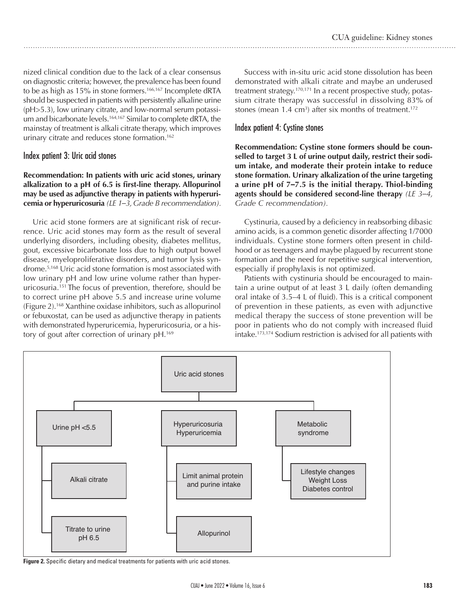nized clinical condition due to the lack of a clear consensus on diagnostic criteria; however, the prevalence has been found to be as high as 15% in stone formers.<sup>166,167</sup> Incomplete dRTA should be suspected in patients with persistently alkaline urine (pH>5.3), low urinary citrate, and low-normal serum potassium and bicarbonate levels.<sup>164,167</sup> Similar to complete dRTA, the mainstay of treatment is alkali citrate therapy, which improves urinary citrate and reduces stone formation.<sup>162</sup>

# Index patient 3: Uric acid stones

#### **Recommendation: In patients with uric acid stones, urinary alkalization to a pH of 6.5 is first-line therapy. Allopurinol may be used as adjunctive therapy in patients with hyperuricemia or hyperuricosuria** *(LE 1–3, Grade B recommendation).*

Uric acid stone formers are at significant risk of recurrence. Uric acid stones may form as the result of several underlying disorders, including obesity, diabetes mellitus, gout, excessive bicarbonate loss due to high output bowel disease, myeloproliferative disorders, and tumor lysis syndrome.5,168 Uric acid stone formation is most associated with low urinary pH and low urine volume rather than hyperuricosuria.151 The focus of prevention, therefore, should be to correct urine pH above 5.5 and increase urine volume (Figure 2).168 Xanthine oxidase inhibitors, such as allopurinol or febuxostat, can be used as adjunctive therapy in patients with demonstrated hyperuricemia, hyperuricosuria, or a history of gout after correction of urinary pH.<sup>169</sup>

Success with in-situ uric acid stone dissolution has been demonstrated with alkali citrate and maybe an underused treatment strategy.<sup>170,171</sup> In a recent prospective study, potassium citrate therapy was successful in dissolving 83% of stones (mean  $1.4 \text{ cm}^3$ ) after six months of treatment.<sup>172</sup>

# Index patient 4: Cystine stones

**Recommendation: Cystine stone formers should be counselled to target 3 L of urine output daily, restrict their sodium intake, and moderate their protein intake to reduce stone formation. Urinary alkalization of the urine targeting a urine pH of 7***–***7.5 is the initial therapy. Thiol-binding agents should be considered second-line therapy** *(LE 3–4, Grade C recommendation).*

Cystinuria, caused by a deficiency in reabsorbing dibasic amino acids, is a common genetic disorder affecting 1/7000 individuals. Cystine stone formers often present in childhood or as teenagers and maybe plagued by recurrent stone formation and the need for repetitive surgical intervention, especially if prophylaxis is not optimized.

Patients with cystinuria should be encouraged to maintain a urine output of at least 3 L daily (often demanding oral intake of 3.5–4 L of fluid). This is a critical component of prevention in these patients, as even with adjunctive medical therapy the success of stone prevention will be poor in patients who do not comply with increased fluid intake.173,174 Sodium restriction is advised for all patients with



**Figure 2.** Specific dietary and medical treatments for patients with uric acid stones.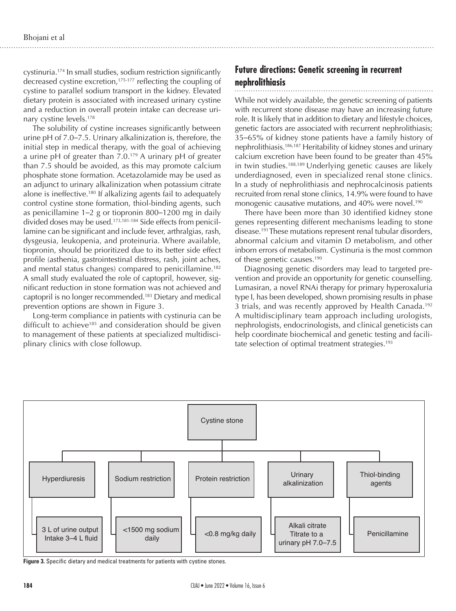cystinuria.174 In small studies, sodium restriction significantly decreased cystine excretion,<sup>175-177</sup> reflecting the coupling of cystine to parallel sodium transport in the kidney. Elevated dietary protein is associated with increased urinary cystine and a reduction in overall protein intake can decrease urinary cystine levels.178

The solubility of cystine increases significantly between urine pH of 7.0*–*7.5. Urinary alkalinization is, therefore, the initial step in medical therapy, with the goal of achieving a urine pH of greater than  $7.0^{179}$  A urinary pH of greater than 7.5 should be avoided, as this may promote calcium phosphate stone formation. Acetazolamide may be used as an adjunct to urinary alkalinization when potassium citrate alone is ineffective.180 If alkalizing agents fail to adequately control cystine stone formation, thiol-binding agents, such as penicillamine 1*–*2 g or tiopronin 800*–*1200 mg in daily divided doses may be used.173,181-184 Side effects from penicillamine can be significant and include fever, arthralgias, rash, dysgeusia, leukopenia, and proteinuria. Where available, tiopronin, should be prioritized due to its better side effect profile (asthenia, gastrointestinal distress, rash, joint aches, and mental status changes) compared to penicillamine.<sup>182</sup> A small study evaluated the role of captopril, however, significant reduction in stone formation was not achieved and captopril is no longer recommended.183 Dietary and medical prevention options are shown in Figure 3.

Long-term compliance in patients with cystinuria can be difficult to achieve<sup>185</sup> and consideration should be given to management of these patients at specialized multidisciplinary clinics with close followup.

# **Future directions: Genetic screening in recurrent nephrolithiasis**

While not widely available, the genetic screening of patients with recurrent stone disease may have an increasing future role. It is likely that in addition to dietary and lifestyle choices, genetic factors are associated with recurrent nephrolithiasis; 35*–*65% of kidney stone patients have a family history of nephrolithiasis.186,187 Heritability of kidney stones and urinary calcium excretion have been found to be greater than 45% in twin studies.<sup>188,189</sup> Underlying genetic causes are likely underdiagnosed, even in specialized renal stone clinics. In a study of nephrolithiasis and nephrocalcinosis patients recruited from renal stone clinics, 14.9% were found to have monogenic causative mutations, and 40% were novel.<sup>190</sup>

There have been more than 30 identified kidney stone genes representing different mechanisms leading to stone disease.191 These mutations represent renal tubular disorders, abnormal calcium and vitamin D metabolism, and other inborn errors of metabolism. Cystinuria is the most common of these genetic causes.190

Diagnosing genetic disorders may lead to targeted prevention and provide an opportunity for genetic counselling. Lumasiran, a novel RNAi therapy for primary hyperoxaluria type I, has been developed, shown promising results in phase 3 trials, and was recently approved by Health Canada.<sup>192</sup> A multidisciplinary team approach including urologists, nephrologists, endocrinologists, and clinical geneticists can help coordinate biochemical and genetic testing and facilitate selection of optimal treatment strategies.<sup>193</sup>



**Figure 3.** Specific dietary and medical treatments for patients with cystine stones.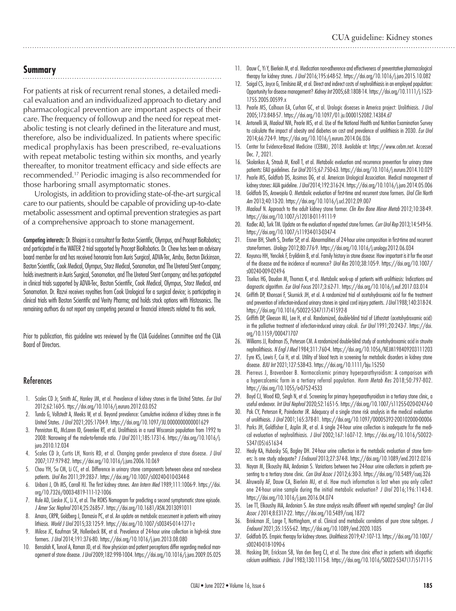# **Summary**

For patients at risk of recurrent renal stones, a detailed medical evaluation and an individualized approach to dietary and pharmacological prevention are important aspects of their care. The frequency of followup and the need for repeat metabolic testing is not clearly defined in the literature and must, therefore, also be individualized. In patients where specific medical prophylaxis has been prescribed, re-evaluations with repeat metabolic testing within six months, and yearly thereafter, to monitor treatment efficacy and side effects are recommended.17 Periodic imaging is also recommended for those harboring small asymptomatic stones.

 Urologists, in addition to providing state-of-the-art surgical care to our patients, should be capable of providing up-to-date metabolic assessment and optimal prevention strategies as part of a comprehensive approach to stone management.

Competing interests: Dr. Bhojani is a consultant for Boston Scientific, Olympus, and Procept BioRobotics; and participated in the WATER 2 trial supported by Procept BioRobotics. Dr. Chew has been an advisory board member for and has received honoraria from Auris Surgical, ADVA-Tec, Ambu, Becton Dickinson, Boston Scientific, Cook Medical, Olympus, Storz Medical, Sonomotion, and The Ureteral Stent Company; holds investments in Auris Surgical, Sonomotion, and The Ureteral Stent Company; and has participated in clinical trials supported by ADVA-Tec, Boston Scientific, Cook Medical, Olympus, Storz Medical, and Sonomotion. Dr. Razvi receives royalties from Cook Urological for a surgical device; is participating in clinical trials with Boston Scientific and Verity Pharma; and holds stock options with Histosonics. The remaining authors do not report any competing personal or financial interests related to this work.

Prior to publication, this guideline was reviewed by the CUA Guidelines Committee and the CUA Board of Directors.

#### References

- 1. Scales CD Jr, Smith AC, Hanley JM, et al. Prevalence of kidney stones in the United States. *Eur Urol* 2012;62:160-5. ttps://doi.org/10.1016/j.eururo.2012.03.052
- 2. Tundo G, Vollstedt A, Meeks W, et al. Beyond prevalence: Cumulative incidence of kidney stones in the United States. *J Urol* 2021;205:1704-9. https://doi.org/10.1097/JU.0000000000001629
- 3. Penniston KL, McLaren ID, Greenlee RT, et al. Urolithiasis in a rural Wisconsin population from 1992 to 2008: Narrowing of the male-to-female ratio. *J Urol* 2011;185:1731-6. https://doi.org/10.1016/j. juro.2010.12.034
- 4. Scales CD Jr, Curtis LH, Norris RD, et al. Changing gender prevalence of stone disease. *J Urol* 2007;177:979-82. https://doi.org/10.1016/j.juro.2006.10.069
- 5. Chou YH, Su CM, Li CC, et al. Difference in urinary stone components between obese and non-obese patients. *Urol Res* 2011;39:283-7. https://doi.org/10.1007/s00240-010-0344-8
- 6. Uribarri J, Oh MS, Carroll HJ. The first kidney stones. *Ann Intern Med* 1989;111:1006-9. https://doi. org/10.7326/0003-4819-111-12-1006
- 7. Rule AD, Lieske JC, Li X, et al. The ROKS Nomogram for predicting a second symptomatic stone episode. *J Amer Soc Nephrol* 2014;25:2685-7. https://doi.org/10.1681/ASN.2013091011
- 8. Amaro, CRPR, Goldberg J, Damasio PC, et al. An update on metabolic assessment in patients with urinary lithiasis. *World J Urol* 2015;33:125-9. https://doi.org/10.1007/s00345-014-1271-z
- 9. Milose JC, Kaufman SR, Hollenbeck BK, et al. Prevalence of 24-hour urine collection in high-risk stone formers. *J Urol* 2014;191:376-80. https://doi.org/10.1016/j.juro.2013.08.080
- 10. Bensalah K, Tuncel A, Raman JD, et al. How physician and patient perceptions differ regarding medical management of stone disease. *J Urol* 2009;182:998-1004. https://doi.org/10.1016/j.juro.2009.05.025
- 11. Dauw C, Yi Y, Bierlein M, et al. Medication non-adherence and effectiveness of preventative pharmacological therapy for kidney stones. *J Urol* 2016;195:648-52. https://doi.org/10.1016/j.juro.2015.10.082
- 12. Saigal CS, Joyce G, Timilsina AR, et al. Direct and indirect costs of nephrolithiasis in an employed population: Opportunity for disease management? *Kidney Int* 2005;68:1808-14. https://doi.org/10.1111/j.1523- 1755.2005.00599.x
- 13. Pearle MS, Calhoun EA, Curhan GC, et al. Urologic diseases in America project: Urolithiasis. *J Urol* 2005;173:848-57. https://doi.org/10.1097/01.ju.0000152082.14384.d7
- 14. Antonelli JA, Maalouf NM, Pearle MS, et al. Use of the National Health and Nutrition Examination Survey to calculate the impact of obesity and diabetes on cost and prevalence of urolithiasis in 2030. *Eur Urol* 2014;66:724-9. https://doi.org/10.1016/j.eururo.2014.06.036
- 15. Center for Evidence-Based Medicine (CEBM), 2018. Available at: https://www.cebm.net. Accessed Dec. 7, 2021.
- 16. Skolarikos A, Straub M, Knoll T, et al. Metabolic evaluation and recurrence prevention for urinary stone patients: EAU guidelines. *Eur Urol* 2015;67:750-63. https://doi.org/10.1016/j.eururo.2014.10.029
- 17. Pearle MS, Goldfarb DS, Assimos DG, et al. American Urological Association. Medical management of kidney stones: AUA guideline. *J Urol* 2014;192:316-24. https://doi.org/10.1016/j.juro.2014.05.006
- 18. Goldfarb DS, Arowojolu O. Metabolic evaluation of first-time and recurrent stone formers. *Urol Clin North Am* 2013;40:13-20. https://doi.org/10.1016/j.ucl.2012.09.007
- 19. Maalouf N. Approach to the adult kidney stone former. *Clin Rev Bone Miner Metab* 2012;10:38-49. https://doi.org/10.1007/s12018-011-9111-9
- 20. Kadlec AO, Turk TM. Update on the evaluation of repeated stone formers. *Curr Urol Rep* 2013;14:549-56. https://doi.org/10.1007/s11934-013-0347-4
- 21. Eisner BH, Sheth S, Dretler SP, et al. Abnormalities of 24-hour urine composition in first-time and recurrent stone-formers. *Urology* 2012;80:776-9. https://doi.org/10.1016/j.urology.2012.06.034
- 22. Koyuncu HH, Yencilek F, Eryildirim B, et al. Family history in stone disease: How important is it for the onset of the disease and the incidence of recurrence? *Urol Res* 2010;38:105-9. https://doi.org/10.1007/ s00240-009-0249-6
- 23. Tiselius HG, Daudon M, Thomas K, et al. Metabolic work-up of patients with urolithiasis: Indications and diagnostic algorithm. *Eur Urol Focus* 2017;3:62-71. https://doi.org/10.1016/j.euf.2017.03.014
- 24. Griffith DP, Khonsari F, Skurnick JH, et al. A randomized trial of acetohydroxamic acid for the treatment and prevention of infection-induced urinary stones in spinal cord injury patients. *J Urol* 1988;140:318-24. https://doi.org/10.1016/S0022-5347(17)41592-8
- 25. Griffith DP, Gleeson MJ, Lee H, et al. Randomized, double-blind trial of Lithostat (acetohydroxamic acid) in the palliative treatment of infection-induced urinary calculi. *Eur Urol* 1991;20:243-7. https://doi. org/10.1159/000471707
- 26. Williams JJ, Rodman JS, Peterson CM. A randomized double-blind study of acetohydroxamic acid in struvite nephrolithiasis. *N Engl J Med* 1984;311:760-4. https://doi.org/10.1056/NEJM198409203111203
- 27. Eyre KS, Lewis F, Cui H, et al. Utility of blood tests in screening for metabolic disorders in kidney stone disease. *BJU Int* 2021;127:538-43. https://doi.org/10.1111/bju.15250
- 28. Pierreus J, Bravenboer B. Normocalcemic primary hyperparathyroidism: A comparison with a hypercalcemic form in a tertiary referral population. *Horm Metab Res* 2018;50:797-802. https://doi.org/10.1055/a-0752-4533
- 29. Boyd CJ, Wood KD, Singh N, et al. Screening for primary hyperparathyroidism in a tertiary stone clinic, a useful endeavor. *Int Urol Nephrol* 2020;52:1651-5. https://doi.org/10.1007/s11255-020-02476-0
- 30. Pak CY, Peterson R, Poindexter JR. Adequacy of a single stone risk analysis in the medical evaluation of urolithiasis. *J Urol* 2001;165:378-81. https://doi.org/10.1097/00005392-200102000-00006
- 31. Parks JH, Goldfisher E, Asplin JR, et al. A single 24-hour urine collection is inadequate for the medical evaluation of nephrolithiasis. *J Urol* 2002;167:1607-12. https://doi.org/10.1016/S0022- 5347(05)65163-4
- 32. Healy KA, Hubosky SG, Bagley DH. 24-hour urine collection in the metabolic evaluation of stone formers: Is one study adequate? *J Endourol* 2013;27:374-8. https://doi.org/10.1089/end.2012.0216
- 33. Nayan M, Elkoushy MA, Andonian S. Variations between two 24-hour urine collections in patients presenting to a tertiary stone clinic. *Can Urol Assoc J* 2012;6:30-3. https://doi.org/10.5489/cuaj.326
- 34. Alruwaily AF, Dauw CA, Bierlein MJ, et al. How much information is lost when you only collect one 24-hour urine sample during the initial metabolic evaluation? *J Urol* 2016;196:1143-8. https://doi.org/10.1016/j.juro.2016.04.074
- 35. Lee TT, Elkoushy MA, Andonian S. Are stone analysis results different with repeated sampling? *Can Urol Assoc J* 2014;8:E317-22. https://doi.org/10.5489/cuaj.1872
- 36. Brinkman JE, Large T, Nottingham, et al. Clinical and metabolic correlates of pure stone subtypes. *J Endourol* 2021;35:1555-62. https://doi.org/10.1089/end.2020.1035
- 37. Goldfarb DS. Empiric therapy for kidney stones. *Urolithiasis* 2019;47:107-13. https://doi.org/10.1007/ s00240-018-1090-6
- 38. Hosking DH, Erickson SB, Van den Berg CJ, et al. The stone clinic effect in patients with idiopathic calcium urolithiasis. *J Urol* 1983;130:1115-8. https://doi.org/10.1016/S0022-5347(17)51711-5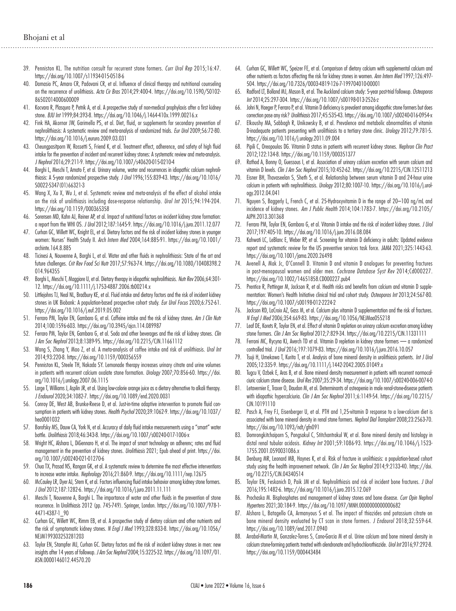- 39. Penniston KL. The nutrition consult for recurrent stone formers. *Curr Urol Rep* 2015;16:47. https://doi.org/10.1007/s11934-015-0518-6
- 40. Damasio PC, Amaro CR, Padovani CR, et al. Influence of clinical therapy and nutritional counseling on the recurrence of urolithiasis. *Acta Cir Bras* 2014;29:400-4. https://doi.org/10.1590/S0102- 86502014000600009
- 41. Kocvara R, Plasqura P, Petrik A, et al. A prospective study of non-medical prophylaxis after a first kidney stone. *BJU Int* 1999;84:393-8. https://doi.org/10.1046/j.1464-410x.1999.00216.x
- 42. Fink HA, Akornor JW, Garimella PS, et al. Diet, fluid, or supplements for secondary prevention of nephrolithiasis: A systematic review and meta-analysis of randomized trials. *Eur Urol* 2009;56:72-80. https://doi.org/10.1016/j.eururo.2009.03.031
- 43. Cheungpasitporn W, Rossetti S, Friend K, et al. Treatment effect, adherence, and safety of high fluid intake for the prevention of incident and recurrent kidney stones: A systematic review and meta-analysis. *J Nephrol* 2016;29:211-9. https://doi.org/10.1007/s40620-015-0210-4
- 44. Borghi L, Meschi T, Amato F, et al. Urinary volume, water and recurrences in idiopathic calcium nephrolithiasis: A 5-year randomized prospective study. *J Urol* 1996;155:839-43. https://doi.org/10.1016/ S0022-5347(01)66321-3
- 45. Wang X, Xu X, Wu J, et al. Systematic review and meta-analysis of the effect of alcohol intake on the risk of urolithiasis including dose-response relationship. *Urol Int* 2015;94:194-204. https://doi.org/10.1159/000365358
- 46. Sorensen MD, Kahn AJ, Reiner AP, et al. Impact of nutritional factors on incident kidney stone formation: a report from the WHI OS. *J Urol* 2012;187:1645-9. https://doi.org/10.1016/j.juro.2011.12.077
- 47. Curhan GC, Willett WC, Knight EL, et al. Dietary factors and the risk of incident kidney stones in younger women: Nurses' Health Study II. *Arch Intern Med* 2004;164:885-91. https://doi.org/10.1001/ archinte.164.8.885
- 48. Ticinesi A, Nouvenne A, Borghi L, et al. Water and other fluids in nephrolithiasis: State of the art and future challenges. *Crit Rev Food Sci Nutr* 2017;57:963-74. https://doi.org/10.1080/10408398.2 014.964355
- 49. Borghi L, Meschi T, Maggiore U, et al. Dietary therapy in idiopathic nephrolithiasis. *Nutr Rev* 2006;64:301- 12. https://doi.org/10.1111/j.1753-4887.2006.tb00214.x
- 50. Littlejohns TJ, Neal NL, Bradbury KE, et al. Fluid intake and dietary factors and the risk of incident kidney stones in UK Biobank: A population-based prospective cohort study. *Eur Urol Focus* 2020;6:752-61. https://doi.org/10.1016/j.euf.2019.05.002
- 51. Ferraro PM, Taylor EN, Gambaro G, et al. Caffeine intake and the risk of kidney stones. *Am J Clin Nutr* 2014;100:1596-603. https://doi.org/10.3945/ajcn.114.089987
- 52. Ferraro PM, Taylor EN, Gambaro G, et al. Soda and other beverages and the risk of kidney stones. *Clin J Am Soc Nephrol* 2013;8:1389-95. https://doi.org/10.2215/CJN.11661112
- 53. Wang S, Zhang Y, Mao Z, et al. A meta-analysis of coffee intake and risk of urolithiasis. *Urol Int*  2014;93:220-8. https://doi.org/10.1159/000356559
- 54. Penniston KL, Steele TH, Nakada SY. Lemonade therapy increases urinary citrate and urine volumes in patients with recurrent calcium oxalate stone formation. *Urology* 2007;70:856-60. https://doi. org/10.1016/j.urology.2007.06.1115
- 55. Large T, Williams J, Asplin JR, et al. Using low-calorie orange juice as a dietary alternative to alkali therapy. *J Endourol* 2020;34:1082-7. https://doi.org/10.1089/end.2020.0031
- 56. Conroy DE, West AB, Brunke-Reese D, et al. Just-in-time adaptive intervention to promote fluid consumption in patients with kidney stones. *Health Psychol* 2020;39:1062-9. https://doi.org/10.1037/ hea0001032
- 57. Borofsky MS, Dauw CA, York N, et al. Accuracy of daily fluid intake measurements using a "smart" water bottle. *Urolithiasis* 2018;46:343-8. https://doi.org/10.1007/s00240-017-1006-x
- 58. Wright HC, Alshara L, DiGennaro H, et al. The impact of smart technology on adherenc; rates and fluid management in the prevention of kidney stones. *Urolithiasis* 2021; Epub ahead of print. https://doi. org/10.1007/s00240-021-01270-6
- 59. Chua TX, Prasad NS, Rangan GK, et al. A systematic review to determine the most effective interventions to increase water intake. *Nephrology* 2016;21:860-9. https://doi.org/10.1111/nep.12675
- 60. McCauley LR, Dyer AJ, Stern K, et al. Factors influencing fluid intake behavior among kidney stone formers. *J Urol* 2012;187:1282-6. https://doi.org/10.1016/j.juro.2011.11.111
- 61. Meschi T, Nouvenne A, Borghi L. The importance of water and other fluids in the prevention of stone recurrence. In Urolithiasis 2012 (pp. 745-749). Springer, London. https://doi.org/10.1007/978-1- 4471-4387-1\_90
- 62. Curhan GC, Willett WC, Rimm EB, et al. A prospective study of dietary calcium and other nutrients and the risk of symptomatic kidney stones. *N Engl J Med* 1993;328:833-8. https://doi.org/10.1056/ NEJM199303253281203
- 63. Taylor EN, Stampfer MJ, Curhan GC. Dietary factors and the risk of incident kidney stones in men: new insights after 14 years of followup. *J Am Soc Nephrol* 2004;15:3225-32. https://doi.org/10.1097/01. ASN.0000146012.44570.20
- 64. Curhan GC, Willett WC, Speizer FE, et al. Comparison of dietary calcium with supplemental calcium and other nutrients as factors affecting the risk for kidney stones in women. *Ann Intern Med* 1997;126:497- 504. https://doi.org/10.7326/0003-4819-126-7-199704010-00001
- 65. Radford LT, Bolland MJ, Mason B, et al. The Auckland calcium study: 5-year post-trial followup. *Osteoporos Int* 2014;25:297-304. https://doi.org/10.1007/s00198-013-2526-z
- 66. Johri N, Haeger P, Ferraro P, et al. Vitamin D deficiency is prevalent among idiopathic stone formers but does correction pose any risk? *Urolithiasis* 2017;45:535-43. https://doi.org/10.1007/s00240-016-0954-x
- 67. Elkoushy MA, Sabbagh R, Unikowsky B, et al. Prevalence and metabolic abnormalities of vitamin D-inadequate patients presenting with urolithiasis to a tertiary stone clinic. *Urology* 2012;79:781-5. https://doi.org/10.1016/j.urology.2011.09.004
- 68. Pipili C, Oreopoulos DG. Vitamin D status in patients with recurrent kidney stones. *Nephron Clin Pract* 2012;122:134-8. https://doi.org/10.1159/000351377
- 69. Rathod A, Bonny O, Guessous I, et al. Association of urinary calcium excretion with serum calcium and vitamin D levels. *Clin J Am Soc Nephrol* 2015;10:452-62. https://doi.org/10.2215/CJN.12511213
- 70. Eisner BH, Thavaseelan S, Sheth S, et al. Relationship between serum vitamin D and 24-hour urine calcium in patients with nephrolithiasis. *Urology* 2012;80:1007-10. https://doi.org/10.1016/j.urology.2012.04.041
- 71. Nguyen S, Baggerly L, French C, et al. 25-Hydroxyvitamin D in the range of 20–100 ng/mL and incidence of kidney stones. *Am J Public Health* 2014;104:1783-7. https://doi.org/10.2105/ AJPH.2013.301368
- 72. Ferraro PM, Taylor EN, Gambaro G, et al. Vitamin D intake and the risk of incident kidney stones. *J Urol* 2017;197:405-10. https://doi.org/10.1016/j.juro.2016.08.084
- 73. Kahwati LC, LeBlanc E, Weber RP, et al. Screening for vitamin D deficiency in adults: Updated evidence report and systematic review for the US preventive services task force. *JAMA* 2021;325:1443-63. https://doi.org/10.1001/jama.2020.26498
- 74. Avenell A, Mak Jc, O'Connell D. Vitamin D and vitamin D analogues for preventing fractures in post-menopausal women and older men. *Cochrane Database Syst Rev* 2014;Cd000227. https://doi.org/10.1002/14651858.CD000227.pub4
- 75. Prentice R, Pettinger M, Jackson R, et al. Health risks and benefits from calcium and vitamin D supplementation: Women's Health Initiative clinical trial and cohort study. *Osteoporos Int* 2013;24:567-80. https://doi.org/10.1007/s00198-012-2224-2
- 76. Jackson RD, LaCroix AZ, Gass M, et al. Calcium plus vitamin D supplementation and the risk of fractures. *N Engl J Med* 2006;354:669-83. https://doi.org/10.1056/NEJMoa055218
- 77. Leaf DE, Korets R, Taylor EN, et al. Effect of vitamin D repletion on urinary calcium excretion among kidney stone formers. *Clin J Am Soc Nephrol* 2012;7:829-34. https://doi.org/10.2215/CJN.11331111
- 78. Ferroni MC, Rycyna KJ, Averch TD et al. Vitamin D repletion in kidney stone formers a randomized controlled trial. *J Urol* 2016;197:1079-83. https://doi.org/10.1016/j.juro.2016.10.057
- 79. Tsuji H, Umekawa T, Kurita T, et al. Analysis of bone mineral density in urolithiasis patients. *Int J Urol* 2005;12:335-9. https://doi.org/10.1111/j.1442-2042.2005.01049.x
- 80. Tugcu V, Ozbek E, Aras B, et al. Bone mineral density measurement in patients with recurrent normocalciuric calcium stone disease. *Urol Res* 2007;35:29-34. https://doi.org/10.1007/s00240-006-0074-0
- 81. Letavernier E, Traxer O, Daudon M, et al. Determinants of osteopenia in male renal-stone-disease patients with idiopathic hypercalciuria. *Clin J Am Soc Nephrol* 2011;6:1149-54. https://doi.org/10.2215/ CJN.10191110
- 82. Pasch A, Frey FJ, Eisenberger U, et al. PTH and 1,25-vitamin D response to a low-calcium diet is associated with bone mineral density in renal stone formers. *Nephrol Dial Transplant* 2008;23:2563-70. https://doi.org/10.1093/ndt/gfn091
- 83. Domrongkitchaiporn S, Pongsakul C, Stitchantrakul W, et al. Bone mineral density and histology in distal renal tubular acidosis. *Kidney Int* 2001;59:1086-93. https://doi.org/10.1046/j.1523- 1755.2001.0590031086.x
- 84. Denburg MR, Leonard MB, Haynes K, et al. Risk of fracture in urolithiasis: a population-based cohort study using the health improvement network. *Clin J Am Soc Nephrol* 2014;9:2133-40. https://doi. org/10.2215/CJN.04340514
- 85. Taylor EN, Feskanich D, Paik JM et al. Nephrolithiasis and risk of incident bone fractures. *J U*r*ol* 2016;195:1482-6. https://doi.org/10.1016/j.juro.2015.12.069
- 86. Prochaska M. Bisphosphates and management of kidney stones and bone disease. *Curr Opin Nephrol Hypertens* 2021;30:184-9. https://doi.org/10.1097/MNH.0000000000000682
- 87. Alshara L, Batagello CA, Armanyous S et al. The impact of thiazides and potassium citrate on bone mineral density evaluated by CT scan in stone formers. *J Endourol* 2018;32:559-64. https://doi.org/10.1089/end.2017.0940
- 88. Arrabal-Martin M, Gonzalez-Torres S, Cano-Garcia M et al. Urine calcium and bone mineral density in calcium stone-forming patients treated with alendronate and hydrochlorothiazide. *Urol Int* 2016;97:292-8. https://doi.org/10.1159/000443484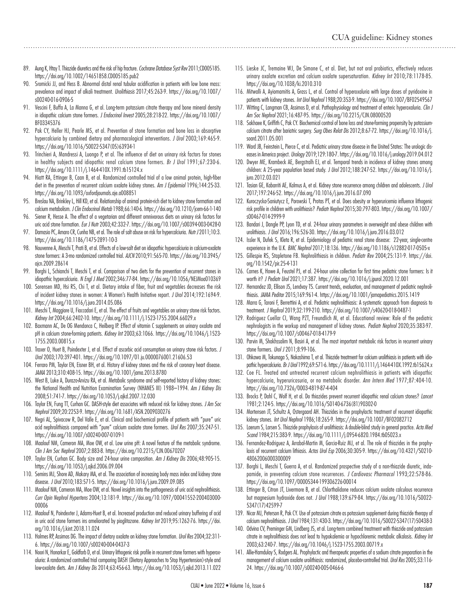- 89. Aung K, Htay T. Thiazide diuretics and the risk of hip fracture. *Cochrane Database Syst Rev* 2011;CD005185. https://doi.org/10.1002/14651858.CD005185.pub2
- 90. Sromicki JJ, and Hess B. Abnormal distal renal tubular acidification in patients with low bone mass: prevalence and impact of alkali treatment. *Urolithiasis* 2017;45:263-9. https://doi.org/10.1007/ s00240-016-0906-5
- 91. Vescini F, Buffa A, La Manna G, et al. Long-term potassium citrate therapy and bone mineral density in idiopathic calcium stone formers. *J Endocrinol Invest* 2005;28:218-22. https://doi.org/10.1007/ BF03345376
- 92. Pak CY, Heller HJ, Pearle MS, et al. Prevention of stone formation and bone loss in absorptive hypercalciuria by combined dietary and pharmacological interventions. *J Urol* 2003;169:465-9. https://doi.org/10.1016/S0022-5347(05)63934-1
- 93. Trinchieri A, Mandressi A, Luongo P, et al. The influence of diet on urinary risk factors for stones in healthy subjects and idiopathic renal calcium stone formers. *Br J Urol* 1991;67:230-6. https://doi.org/10.1111/j.1464-410X.1991.tb15124.x
- 94. Hiatt RA, Ettinger B, Caan B, et al. Randomized controlled trial of a low animal protein, high-fiber diet in the prevention of recurrent calcium oxalate kidney stones. *Am J Epidemiol* 1996;144:25-33. https://doi.org/10.1093/oxfordjournals.aje.a008851
- 95. Breslau NA, Brinkley L, Hill KD, et al. Relationship of animal protein-rich diet to kidney stone formation and calcium metabolism. *J Clin Endocrinol Metab* 1988;66:140-6. https://doi.org/10.1210/jcem-66-1-140
- 96. Siener R, Hesse A. The effect of a vegetarian and different omnivorous diets on urinary risk factors for uric acid stone formation. *Eur J Nutr* 2003;42:332-7. https://doi.org/10.1007/s00394-003-0428-0
- 97. Damasio PC, Amaro CR, Cunha NB, et al. The role of salt abuse on risk for hypercalciuria. *Nutr J* 2011;10:3. https://doi.org/10.1186/1475-2891-10-3
- 98. Nouvenne A, Meschi T, Prati B, et al. Effects of a low-salt diet on idiopathic hypercalciuria in calcium-oxalate stone formers: A 3-mo randomized controlled trial. *AJCN* 2010;91:565-70. https://doi.org/10.3945/ nicn.2009.28614
- 99. Borghi L, Schianchi T, Meschi T, et al. Comparison of two diets for the prevention of recurrent stones in idiopathic hypercalciuria. *N Engl J Med* 2002;346:77-84. https://doi.org/10.1056/NEJMoa010369
- 100. Sorensen MD, Hsi RS, Chi T, et al. Dietary intake of fiber, fruit and vegetables decreases the risk of incident kidney stones in women: A Women's Health Initiative report. *J Urol* 2014;192:1694-9. https://doi.org/10.1016/j.juro.2014.05.086
- 101. Meschi T, Maggiore U, Fiaccadori E, et al. The effect of fruits and vegetables on urinary stone risk factors. *Kidney Int* 2004;66:2402-10. https://doi.org/10.1111/j.1523-1755.2004.66029.x
- 102. Baxmann AC, De OG Mendonca C, Heilberg IP. Effect of vitamin C supplements on urinary oxalate and pH in calcium stone-forming patients. *Kidney Int* 2003;63:1066. https://doi.org/10.1046/j.1523- 1755.2003.00815.x
- 103. Traxer O, Huet B, Poindexter J, et al. Effect of ascorbic acid consumption on urinary stone risk factors. *J Urol* 2003;170:397-401. https://doi.org/10.1097/01.ju.0000076001.21606.53
- 104. Ferraro PM, Taylor EN, Eisner BH, et al. History of kidney stones and the risk of coronary heart disease. *JAMA* 2013;310:408-15. https://doi.org/10.1001/jama.2013.8780
- 105. West B, Luke A, Durazo-Arvizu RA, et al. Metabolic syndrome and self-reported history of kidney stones: the National Health and Nutrition Examination Survey (NHANES III) 1988–1994. *Am J Kidney Dis* 2008;51:741-7. https://doi.org/10.1053/j.ajkd.2007.12.030
- 106. Taylor EN, Fung TT, Curhan GC. DASH-style diet associates with reduced risk for kidney stones. *J Am Soc Nephrol* 2009;20:2253-9. https://doi.org/10.1681/ASN.2009030276
- 107. Negri AL, Spivacow R, Del Valle E, et al. Clinical and biochemical profile of patients with "pure" uric acid nephrolithiasis compared with "pure" calcium oxalate stone formers. *Urol Res* 2007;35:247-51. https://doi.org/10.1007/s00240-007-0109-1
- 108. Maalouf NM, Cameron MA, Moe OW, et al. Low urine pH: A novel feature of the metabolic syndrome. *Clin J Am Soc Nephrol* 2007;2:883-8. https://doi.org/10.2215/CJN.00670207
- 109. Taylor EN, Curhan GC. Body size and 24-hour urine composition. *Am J Kidney Dis* 2006;48:905-15. https://doi.org/10.1053/j.ajkd.2006.09.004
- 110. Semins MJ, Shore AD, Makary MA, et al. The association of increasing body mass index and kidney stone disease. *J Urol* 2010;183:571-5. https://doi.org/10.1016/j.juro.2009.09.085
- 111. Maalouf NM, Cameron MA, Moe OW, et al. Novel insights into the pathogenesis of uric acid nephrolithiasis*. Curr Opin Nephrol Hypertens* 2004;13:181-9. https://doi.org/10.1097/00041552-200403000- 00006
- 112. Maalouf N, Poindexter J, Adams-Huet B, et al. Increased production and reduced urinary buffering of acid in uric acid stone formers ins ameliorated by pioglitazone. *Kidney Int* 2019;95:1262-76. https://doi. org/10.1016/j.kint.2018.11.024
- 113. Holmes RP, Assimos DG. The impact of dietary oxalate on kidney stone formation. *Urol Res* 2004;32:311- 6. https://doi.org/10.1007/s00240-004-0437-3
- 114. Noori N, Honarkar E, Goldfarb D, et al. Urinary lithogenic risk profile in recurrent stone formers with hyperoxaluria: A randomized controlled trial comparing DASH (Dietary Approaches to Stop Hypertension)-style and low-oxalate diets. *Am J Kidney Dis* 2014;63:456-63. https://doi.org/10.1053/j.ajkd.2013.11.022
- 115. Lieske JC, Tremaine WJ, De Simone C, et al. Diet, but not oral probiotics, effectively reduces urinary oxalate excretion and calcium oxalate supersaturation. *Kidney Int* 2010;78:1178-85. https://doi.org/10.1038/ki.2010.310
- 116. Mitwalli A, Ayiomamitis A, Grass L, et al. Control of hyperoxaluria with large doses of pyridoxine in patients with kidney stones. *Int Urol Nephrol* 1988;20:353-9. https://doi.org/10.1007/BF02549567
- 117. Witting C, Langman CB, Assimos D, et al. Pathophysiology and treatment of enteric hyperoxaluria. *Clin J Am Soc Nephrol* 2021;16:487-95. https://doi.org/10.2215/CJN.08000520
- 118. Sakhaee K, Griffith C, Pak CY. Biochemical control of bone loss and stone-forming propensity by potassiumcalcium citrate after bariatric surgery. *Surg Obes Relat Dis* 2012;8:67-72. https://doi.org/10.1016/j. soard.2011.05.001
- 119. Ward JB, Feinstein L, Pierce C, et al. Pediatric urinary stone disease in the United States: The urologic diseases in America project. *Urology* 2019;129:180-7. https://doi.org/10.1016/j.urology.2019.04.012
- 120. Dwyer ME, Krambeck AE, Bergstralh EJ, et al. Temporal trends in incidence of kidney stones among children: A 25-year population based study. *J Urol* 2012;188:247-52. https://doi.org/10.1016/j. juro.2012.03.021
- 121. Tasian GE, Kabarriti AE, Kalmus A, et al. Kidney stone recurrence among children and adolescents. *J Urol* 2017;197:246-52. https://doi.org/10.1016/j.juro.2016.07.090
- 122. Kuroczycka-Saniutycz E, Porowski T, Protas PT, et al. Does obesity or hyperuricemia influence lithogenic risk profile in children with urolithiasis? *Pediatr Nephrol* 2015;30:797-803. https://doi.org/10.1007/ s00467-014-2999-9
- 123. Bandari J, Dangle PP, Lyon TD, et al. 24-hour urinary parameters in overweight and obese children with urolithiasis. *J Urol* 2016;196:526-30. https://doi.org/10.1016/j.juro.2016.03.012
- 124. Issler N, Dufek S, Kleta R, et al. Epidemiology of pediatric renal stone disease: 22-year, single-centre experience in the U.K. *BMC Nephrol* 2017;18:136. https://doi.org/10.1186/s12882-017-0505-x
- 125. Gillespie RS, Stapletone FB. Nephrolithiasis in children. *Pediatr Rev* 2004;25:131-9. https://doi. org/10.1542/pir.25-4-131
- 126. Carnes K, Howe A, Feustel PJ, et al. 24-hour urine collection for first time pediatric stone formers: Is it worth it? *J Pediatr Urol* 2021;17:387. https://doi.org/10.1016/j.jpurol.2020.12.001
- 127. Hernandez JD, Ellison JS, Lendvay TS. Current trends, evaluation, and management of pediatric nephrolithiasis. *JAMA Peditar* 2015;169:961-4. https://doi.org/10.1001/jamapediatrics.2015.1419
- 128. Marra G, Taroni F, Berrettini A, et al. Pediatric nephrolithiasis: A systematic approach from diagnosis to treatment. *J Nephrol* 2019;32:199-210. https://doi.org/10.1007/s40620-018-0487-1
- 129. Rodriguez Cuellar CI, Wang PZT, Freundlich M, et al. Educational review: Role of the pediatric nephrologists in the workup and management of kidney stones. *Pediatr Nephrol* 2020;35:383-97. https://doi.org/10.1007/s00467-018-4179-9
- 130. Parvin M, Shakhssalim N, Basiri A, et al. The most important metabolic risk factors in recurrent urinary stone formers. *Urol J* 2011;8:99-106.
- 131. Ohkawa M, Tokunaga S, Nakashima T, et al. Thiazide treatment for calcium urolithiasis in patients with idiopathic hypercalciuria. *Br J Urol* 1992;69:571-6. https://doi.org/10.1111/j.1464-410X.1992.tb15624.x
- 132. Coe FL. Treated and untreated recurrent calcium nephrolithiasis in patients with idiopathic hypercalciuria, hyperuricosuria, or no metabolic disorder. *Ann Intern Med* 1977;87:404-10. https://doi.org/10.7326/0003-4819-87-4-404
- 133. Brocks P, Dahl C, Wolf H, et al. Do thiazides prevent recurrent idiopathic renal calcium stones? *Lancet* 1981;2:124-5. https://doi.org/10.1016/S0140-6736(81)90302-0
- 134. Mortensen JT, Schultz A, Ostergaard AH. Thiazides in the prophylactic treatment of recurrent idiopathic kidney stones. *Int Urol Nephrol* 1986;18:265-9. https://doi.org/10.1007/BF02082712
- 135. Laerum S, Larsen S. Thiazide prophylaxis of urolithiasis: A double-blind study in general practice. *Acta Med Scand* 1984;215:383-9. https://doi.org/10.1111/j.0954-6820.1984.tb05023.x
- 136. Fernandez-Rodriguez A, Arrabal-Martin M, Garcia-Ruiz MJ, et al. The role of thiazides in the prophylaxis of recurrent calcium lithiasis. *Actas Urol Esp* 2006;30:305-9. https://doi.org/10.4321/S0210- 48062006000300009
- 137. Borghi L, Meschi T, Guerra A, et al. Randomized prospective study of a non-thiazide diuretic, indapamide, in preventing calcium stone recurrences. *J Cardiovasc Pharmacol* 1993;22:S78-86. https://doi.org/10.1097/00005344-199306226-00014
- 138. Ettinger B, Citron JT, Livermore B, et al. Chlorthalidone reduces calcium oxalate calculous recurrence but magnesium hydroxide does not. *J Urol* 1988;139:679-84. https://doi.org/10.1016/S0022- 5347(17)42599-7
- 139. Nicar MJ, Peterson R, Pak CY. Use of potassium citrate as potassium supplement during thiazide therapy of calcium nephrolithiasis. *J Urol* 1984;131:430-3. https://doi.org/10.1016/S0022-5347(17)50438-3
- 140. Odvina CV, Preminger GM, Lindberg JS, et al. Long-term combined treatment with thiazide and potassium citrate in nephrolithiasis does not lead to hypokalemia or hypochloremic metabolic alkalosis. *Kidney Int* 2003;63:240-7. https://doi.org/10.1046/j.1523-1755.2003.00719.x
- 141. Allie-Hamdulay S, Rodgers AL. Prophylactic and therapeutic properties of a sodium citrate preparation in the management of calcium oxalate urolithiasis: randomized, placebo-controlled trial. *Urol Res* 2005;33:116- 24. https://doi.org/10.1007/s00240-005-0466-6